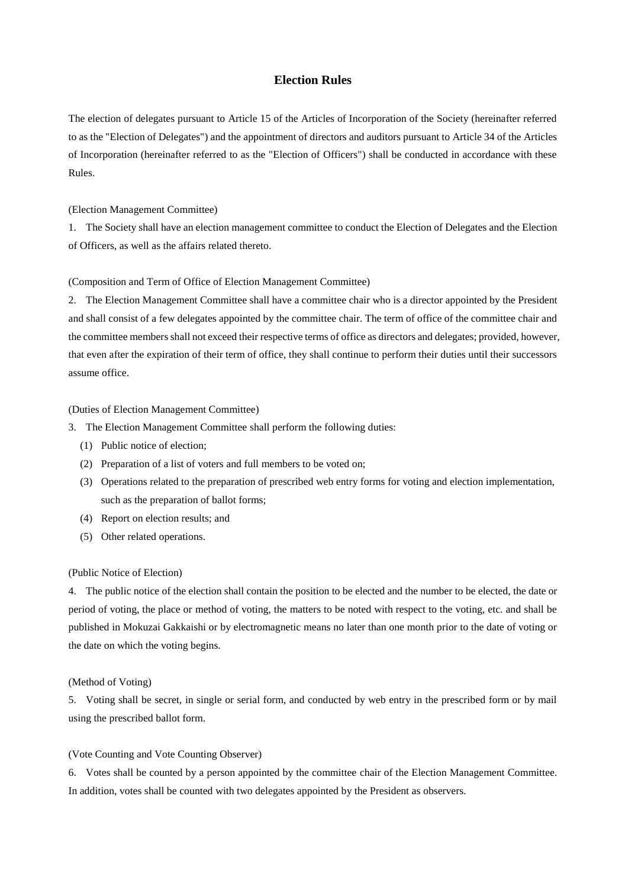# **Election Rules**

The election of delegates pursuant to Article 15 of the Articles of Incorporation of the Society (hereinafter referred to as the "Election of Delegates") and the appointment of directors and auditors pursuant to Article 34 of the Articles of Incorporation (hereinafter referred to as the "Election of Officers") shall be conducted in accordance with these Rules.

(Election Management Committee)

1. The Society shall have an election management committee to conduct the Election of Delegates and the Election of Officers, as well as the affairs related thereto.

### (Composition and Term of Office of Election Management Committee)

2. The Election Management Committee shall have a committee chair who is a director appointed by the President and shall consist of a few delegates appointed by the committee chair. The term of office of the committee chair and the committee members shall not exceed their respective terms of office as directors and delegates; provided, however, that even after the expiration of their term of office, they shall continue to perform their duties until their successors assume office.

## (Duties of Election Management Committee)

- 3. The Election Management Committee shall perform the following duties:
	- (1) Public notice of election;
	- (2) Preparation of a list of voters and full members to be voted on;
	- (3) Operations related to the preparation of prescribed web entry forms for voting and election implementation, such as the preparation of ballot forms;
	- (4) Report on election results; and
	- (5) Other related operations.

### (Public Notice of Election)

4. The public notice of the election shall contain the position to be elected and the number to be elected, the date or period of voting, the place or method of voting, the matters to be noted with respect to the voting, etc. and shall be published in Mokuzai Gakkaishi or by electromagnetic means no later than one month prior to the date of voting or the date on which the voting begins.

#### (Method of Voting)

5. Voting shall be secret, in single or serial form, and conducted by web entry in the prescribed form or by mail using the prescribed ballot form.

## (Vote Counting and Vote Counting Observer)

6. Votes shall be counted by a person appointed by the committee chair of the Election Management Committee. In addition, votes shall be counted with two delegates appointed by the President as observers.